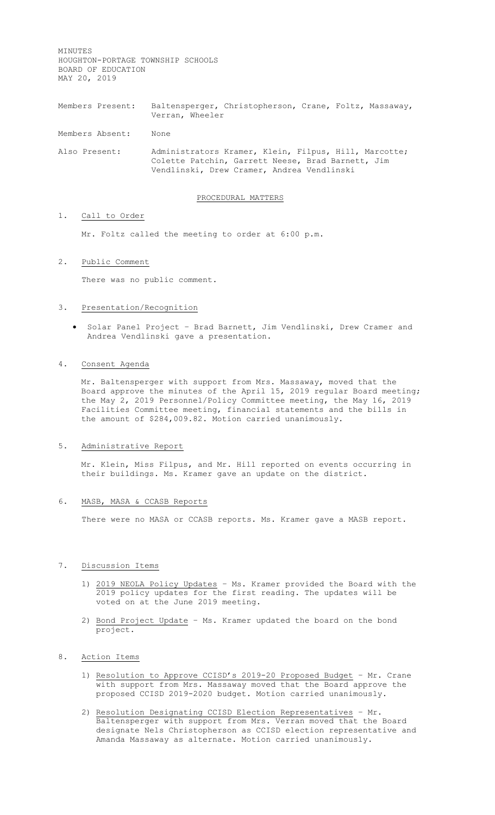MINUTES HOUGHTON-PORTAGE TOWNSHIP SCHOOLS BOARD OF EDUCATION MAY 20, 2019

Members Present: Baltensperger, Christopherson, Crane, Foltz, Massaway, Verran, Wheeler

Members Absent: None

Also Present: Administrators Kramer, Klein, Filpus, Hill, Marcotte; Colette Patchin, Garrett Neese, Brad Barnett, Jim Vendlinski, Drew Cramer, Andrea Vendlinski

#### PROCEDURAL MATTERS

## 1. Call to Order

Mr. Foltz called the meeting to order at 6:00 p.m.

## 2. Public Comment

There was no public comment.

## 3. Presentation/Recognition

• Solar Panel Project - Brad Barnett, Jim Vendlinski, Drew Cramer and Andrea Vendlinski gave a presentation.

## 4. Consent Agenda

Mr. Baltensperger with support from Mrs. Massaway, moved that the Board approve the minutes of the April 15, 2019 regular Board meeting; the May 2, 2019 Personnel/Policy Committee meeting, the May 16, 2019 Facilities Committee meeting, financial statements and the bills in the amount of \$284,009.82. Motion carried unanimously.

### 5. Administrative Report

Mr. Klein, Miss Filpus, and Mr. Hill reported on events occurring in their buildings. Ms. Kramer gave an update on the district.

#### 6. MASB, MASA & CCASB Reports

There were no MASA or CCASB reports. Ms. Kramer gave a MASB report.

## 7. Discussion Items

- 1) 2019 NEOLA Policy Updates Ms. Kramer provided the Board with the 2019 policy updates for the first reading. The updates will be voted on at the June 2019 meeting.
- 2) Bond Project Update Ms. Kramer updated the board on the bond project.

## 8. Action Items

- 1) Resolution to Approve CCISD's 2019-20 Proposed Budget Mr. Crane with support from Mrs. Massaway moved that the Board approve the proposed CCISD 2019-2020 budget. Motion carried unanimously.
- 2) Resolution Designating CCISD Election Representatives Mr. Baltensperger with support from Mrs. Verran moved that the Board designate Nels Christopherson as CCISD election representative and Amanda Massaway as alternate. Motion carried unanimously.